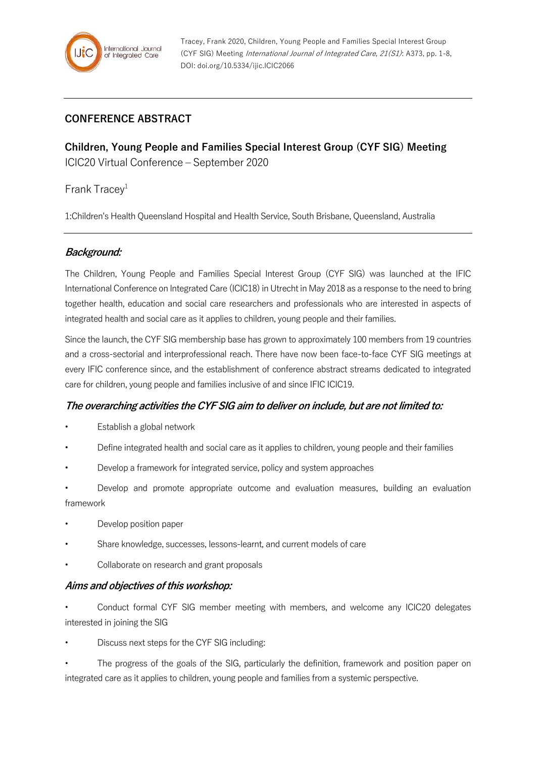

### **CONFERENCE ABSTRACT**

**Children, Young People and Families Special Interest Group (CYF SIG) Meeting** ICIC20 Virtual Conference – September 2020

Frank Tracey $1$ 

1:Children's Health Queensland Hospital and Health Service, South Brisbane, Queensland, Australia

### **Background:**

The Children, Young People and Families Special Interest Group (CYF SIG) was launched at the IFIC International Conference on Integrated Care (ICIC18) in Utrecht in May 2018 as a response to the need to bring together health, education and social care researchers and professionals who are interested in aspects of integrated health and social care as it applies to children, young people and their families.

Since the launch, the CYF SIG membership base has grown to approximately 100 members from 19 countries and a cross-sectorial and interprofessional reach. There have now been face-to-face CYF SIG meetings at every IFIC conference since, and the establishment of conference abstract streams dedicated to integrated care for children, young people and families inclusive of and since IFIC ICIC19.

#### **The overarching activities the CYF SIG aim to deliver on include, but are not limited to:**

- Establish a global network
- Define integrated health and social care as it applies to children, young people and their families
- Develop a framework for integrated service, policy and system approaches
- Develop and promote appropriate outcome and evaluation measures, building an evaluation framework
- Develop position paper
- Share knowledge, successes, lessons-learnt, and current models of care
- Collaborate on research and grant proposals

#### **Aims and objectives of this workshop:**

- Conduct formal CYF SIG member meeting with members, and welcome any ICIC20 delegates interested in joining the SIG
- Discuss next steps for the CYF SIG including:
- The progress of the goals of the SIG, particularly the definition, framework and position paper on integrated care as it applies to children, young people and families from a systemic perspective.